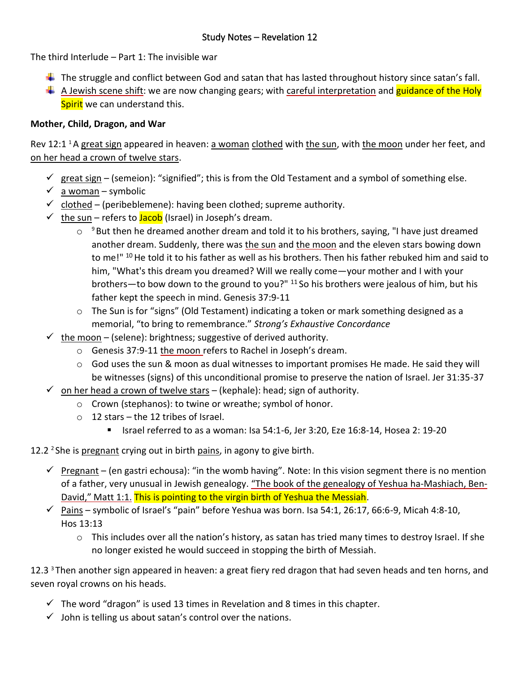The third Interlude – Part 1: The invisible war

- $\ddot{\phantom{1}}$  The struggle and conflict between God and satan that has lasted throughout history since satan's fall.
- A Jewish scene shift: we are now changing gears; with careful interpretation and guidance of the Holy Spirit we can understand this.

## **Mother, Child, Dragon, and War**

Rev 12:1<sup>1</sup> A great sign appeared in heaven: a woman clothed with the sun, with the moon under her feet, and on her head a crown of twelve stars.

- $\checkmark$  great sign (semeion): "signified"; this is from the Old Testament and a symbol of something else.
- $\checkmark$  a woman symbolic
- $\checkmark$  clothed (peribeblemene): having been clothed; supreme authority.
- $\checkmark$  the sun refers to **Jacob** (Israel) in Joseph's dream.
	- $\circ$   $\degree$ But then he dreamed another dream and told it to his brothers, saying, "I have just dreamed another dream. Suddenly, there was the sun and the moon and the eleven stars bowing down to me!" <sup>10</sup> He told it to his father as well as his brothers. Then his father rebuked him and said to him, "What's this dream you dreamed? Will we really come—your mother and I with your brothers—to bow down to the ground to you?"  $11$  So his brothers were jealous of him, but his father kept the speech in mind. Genesis 37:9-11
	- $\circ$  The Sun is for "signs" (Old Testament) indicating a token or mark something designed as a memorial, "to bring to remembrance." *Strong's Exhaustive Concordance*
- $\checkmark$  the moon (selene): brightness; suggestive of derived authority.
	- o Genesis 37:9-11 the moon refers to Rachel in Joseph's dream.
	- o God uses the sun & moon as dual witnesses to important promises He made. He said they will be witnesses (signs) of this unconditional promise to preserve the nation of Israel. Jer 31:35-37
- $\checkmark$  on her head a crown of twelve stars (kephale): head; sign of authority.
	- o Crown (stephanos): to twine or wreathe; symbol of honor.
	- o 12 stars the 12 tribes of Israel.
		- Israel referred to as a woman: Isa 54:1-6, Jer 3:20, Eze 16:8-14, Hosea 2: 19-20
- 12.2  $2$  She is pregnant crying out in birth pains, in agony to give birth.
	- $\checkmark$  Pregnant (en gastri echousa): "in the womb having". Note: In this vision segment there is no mention of a father, very unusual in Jewish genealogy. "The book of the genealogy of Yeshua ha-Mashiach, Ben-David," Matt 1:1. This is pointing to the virgin birth of Yeshua the Messiah.
	- $\checkmark$  Pains symbolic of Israel's "pain" before Yeshua was born. Isa 54:1, 26:17, 66:6-9, Micah 4:8-10, Hos 13:13
		- o This includes over all the nation's history, as satan has tried many times to destroy Israel. If she no longer existed he would succeed in stopping the birth of Messiah.

12.3<sup>3</sup> Then another sign appeared in heaven: a great fiery red dragon that had seven heads and ten horns, and seven royal crowns on his heads.

- $\checkmark$  The word "dragon" is used 13 times in Revelation and 8 times in this chapter.
- $\checkmark$  John is telling us about satan's control over the nations.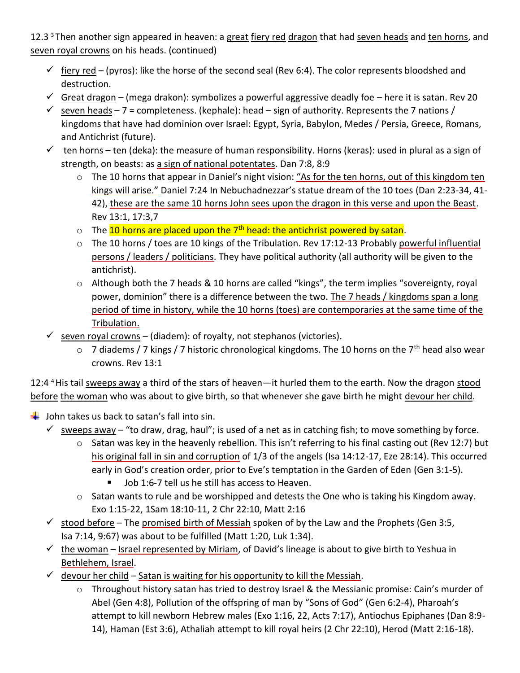12.3<sup>3</sup> Then another sign appeared in heaven: a great fiery red dragon that had seven heads and ten horns, and seven royal crowns on his heads. (continued)

- $\checkmark$  fiery red (pyros): like the horse of the second seal (Rev 6:4). The color represents bloodshed and destruction.
- $\checkmark$  Great dragon (mega drakon): symbolizes a powerful aggressive deadly foe here it is satan. Rev 20
- $\checkmark$  seven heads 7 = completeness. (kephale): head sign of authority. Represents the 7 nations / kingdoms that have had dominion over Israel: Egypt, Syria, Babylon, Medes / Persia, Greece, Romans, and Antichrist (future).
- $\checkmark$  ten horns ten (deka): the measure of human responsibility. Horns (keras): used in plural as a sign of strength, on beasts: as a sign of national potentates. Dan 7:8, 8:9
	- o The 10 horns that appear in Daniel's night vision: "As for the ten horns, out of this kingdom ten kings will arise." Daniel 7:24 In Nebuchadnezzar's statue dream of the 10 toes (Dan 2:23-34, 41- 42), these are the same 10 horns John sees upon the dragon in this verse and upon the Beast. Rev 13:1, 17:3,7
	- $\circ$  The 10 horns are placed upon the 7<sup>th</sup> head: the antichrist powered by satan.
	- o The 10 horns / toes are 10 kings of the Tribulation. Rev 17:12-13 Probably powerful influential persons / leaders / politicians. They have political authority (all authority will be given to the antichrist).
	- o Although both the 7 heads & 10 horns are called "kings", the term implies "sovereignty, royal power, dominion" there is a difference between the two. The 7 heads / kingdoms span a long period of time in history, while the 10 horns (toes) are contemporaries at the same time of the Tribulation.
- $\checkmark$  seven royal crowns (diadem): of royalty, not stephanos (victories).
	- $\circ$  7 diadems / 7 kings / 7 historic chronological kingdoms. The 10 horns on the 7<sup>th</sup> head also wear crowns. Rev 13:1

12:4<sup>4</sup> His tail sweeps away a third of the stars of heaven—it hurled them to the earth. Now the dragon stood before the woman who was about to give birth, so that whenever she gave birth he might devour her child.

- $\downarrow$  John takes us back to satan's fall into sin.
	- $\checkmark$  sweeps away "to draw, drag, haul"; is used of a net as in catching fish; to move something by force.
		- $\circ$  Satan was key in the heavenly rebellion. This isn't referring to his final casting out (Rev 12:7) but his original fall in sin and corruption of 1/3 of the angels (Isa 14:12-17, Eze 28:14). This occurred early in God's creation order, prior to Eve's temptation in the Garden of Eden (Gen 3:1-5).
			- Job 1:6-7 tell us he still has access to Heaven.
		- $\circ$  Satan wants to rule and be worshipped and detests the One who is taking his Kingdom away. Exo 1:15-22, 1Sam 18:10-11, 2 Chr 22:10, Matt 2:16
	- $\checkmark$  stood before The promised birth of Messiah spoken of by the Law and the Prophets (Gen 3:5, Isa 7:14, 9:67) was about to be fulfilled (Matt 1:20, Luk 1:34).
	- $\checkmark$  the woman Israel represented by Miriam, of David's lineage is about to give birth to Yeshua in Bethlehem, Israel.
	- $\checkmark$  devour her child Satan is waiting for his opportunity to kill the Messiah.
		- $\circ$  Throughout history satan has tried to destroy Israel & the Messianic promise: Cain's murder of Abel (Gen 4:8), Pollution of the offspring of man by "Sons of God" (Gen 6:2-4), Pharoah's attempt to kill newborn Hebrew males (Exo 1:16, 22, Acts 7:17), Antiochus Epiphanes (Dan 8:9- 14), Haman (Est 3:6), Athaliah attempt to kill royal heirs (2 Chr 22:10), Herod (Matt 2:16-18).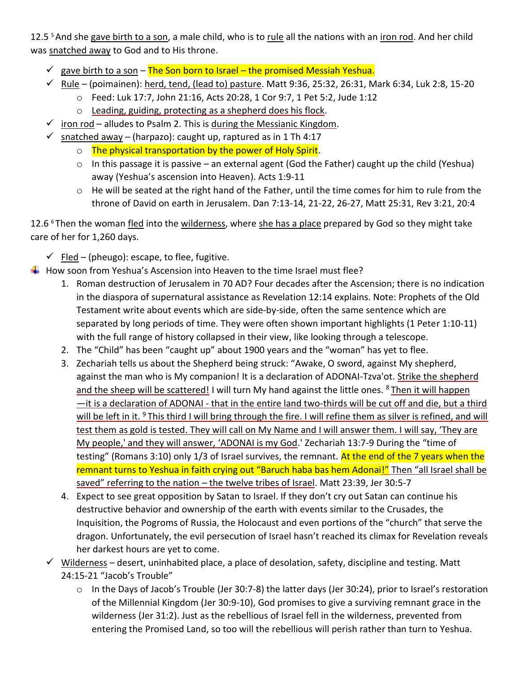12.5<sup>5</sup> And she gave birth to a son, a male child, who is to rule all the nations with an iron rod. And her child was snatched away to God and to His throne.

- $\checkmark$  gave birth to a son The Son born to Israel the promised Messiah Yeshua.
- $✓ Rule (poimainen): herd, tend, (lead to) pasture. Matt 9:36, 25:32, 26:31, Mark 6:34, Luk 2:8, 15-20$ 
	- o Feed: Luk 17:7, John 21:16, Acts 20:28, 1 Cor 9:7, 1 Pet 5:2, Jude 1:12
	- o Leading, guiding, protecting as a shepherd does his flock.
- $\checkmark$  iron rod alludes to Psalm 2. This is during the Messianic Kingdom.
- $\checkmark$  snatched away (harpazo): caught up, raptured as in 1 Th 4:17
	- o The physical transportation by the power of Holy Spirit.
	- $\circ$  In this passage it is passive an external agent (God the Father) caught up the child (Yeshua) away (Yeshua's ascension into Heaven). Acts 1:9-11
	- o He will be seated at the right hand of the Father, until the time comes for him to rule from the throne of David on earth in Jerusalem. Dan 7:13-14, 21-22, 26-27, Matt 25:31, Rev 3:21, 20:4

12.6 <sup>6</sup>Then the woman fled into the wilderness, where she has a place prepared by God so they might take care of her for 1,260 days.

- $\checkmark$  Fled (pheugo): escape, to flee, fugitive.
- $\ddot{\bullet}$  How soon from Yeshua's Ascension into Heaven to the time Israel must flee?
	- 1. Roman destruction of Jerusalem in 70 AD? Four decades after the Ascension; there is no indication in the diaspora of supernatural assistance as Revelation 12:14 explains. Note: Prophets of the Old Testament write about events which are side-by-side, often the same sentence which are separated by long periods of time. They were often shown important highlights (1 Peter 1:10-11) with the full range of history collapsed in their view, like looking through a telescope.
	- 2. The "Child" has been "caught up" about 1900 years and the "woman" has yet to flee.
	- 3. Zechariah tells us about the Shepherd being struck: "Awake, O sword, against My shepherd, against the man who is My companion! It is a declaration of ADONAI-Tzva'ot. Strike the shepherd and the sheep will be scattered! I will turn My hand against the little ones. <sup>8</sup>Then it will happen —it is a declaration of ADONAI - that in the entire land two-thirds will be cut off and die, but a third will be left in it. <sup>9</sup>This third I will bring through the fire. I will refine them as silver is refined, and will test them as gold is tested. They will call on My Name and I will answer them. I will say, 'They are My people,' and they will answer, 'ADONAI is my God.' Zechariah 13:7-9 During the "time of testing" (Romans 3:10) only 1/3 of Israel survives, the remnant. At the end of the 7 years when the remnant turns to Yeshua in faith crying out "Baruch haba bas hem Adonai!" Then "all Israel shall be saved" referring to the nation – the twelve tribes of Israel. Matt 23:39, Jer 30:5-7
	- 4. Expect to see great opposition by Satan to Israel. If they don't cry out Satan can continue his destructive behavior and ownership of the earth with events similar to the Crusades, the Inquisition, the Pogroms of Russia, the Holocaust and even portions of the "church" that serve the dragon. Unfortunately, the evil persecution of Israel hasn't reached its climax for Revelation reveals her darkest hours are yet to come.
	- $\checkmark$  Wilderness desert, uninhabited place, a place of desolation, safety, discipline and testing. Matt 24:15-21 "Jacob's Trouble"
		- $\circ$  In the Days of Jacob's Trouble (Jer 30:7-8) the latter days (Jer 30:24), prior to Israel's restoration of the Millennial Kingdom (Jer 30:9-10), God promises to give a surviving remnant grace in the wilderness (Jer 31:2). Just as the rebellious of Israel fell in the wilderness, prevented from entering the Promised Land, so too will the rebellious will perish rather than turn to Yeshua.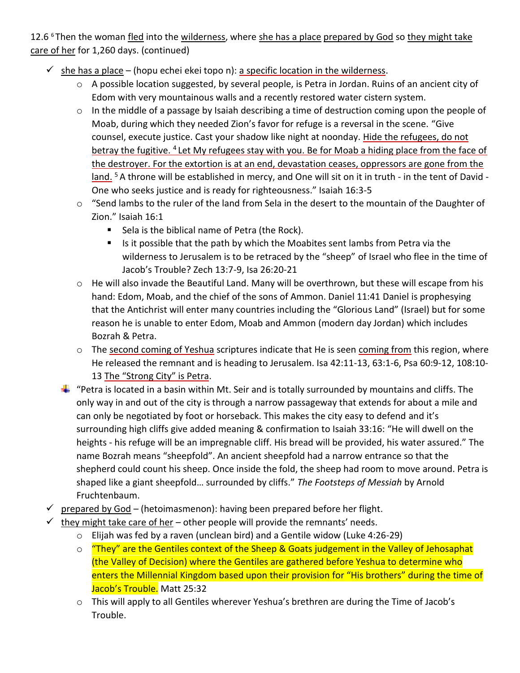12.6 $6$ Then the woman fled into the wilderness, where she has a place prepared by God so they might take care of her for 1,260 days. (continued)

- $\checkmark$  she has a place (hopu echei ekei topo n): a specific location in the wilderness.
	- o A possible location suggested, by several people, is Petra in Jordan. Ruins of an ancient city of Edom with very mountainous walls and a recently restored water cistern system.
	- o In the middle of a passage by Isaiah describing a time of destruction coming upon the people of Moab, during which they needed Zion's favor for refuge is a reversal in the scene. "Give counsel, execute justice. Cast your shadow like night at noonday. Hide the refugees, do not betray the fugitive. <sup>4</sup> Let My refugees stay with you. Be for Moab a hiding place from the face of the destroyer. For the extortion is at an end, devastation ceases, oppressors are gone from the land.<sup>5</sup> A throne will be established in mercy, and One will sit on it in truth - in the tent of David -One who seeks justice and is ready for righteousness." Isaiah 16:3-5
	- o "Send lambs to the ruler of the land from Sela in the desert to the mountain of the Daughter of Zion." Isaiah 16:1
		- Sela is the biblical name of Petra (the Rock).
		- Is it possible that the path by which the Moabites sent lambs from Petra via the wilderness to Jerusalem is to be retraced by the "sheep" of Israel who flee in the time of Jacob's Trouble? Zech 13:7-9, Isa 26:20-21
	- o He will also invade the Beautiful Land. Many will be overthrown, but these will escape from his hand: Edom, Moab, and the chief of the sons of Ammon. Daniel 11:41 Daniel is prophesying that the Antichrist will enter many countries including the "Glorious Land" (Israel) but for some reason he is unable to enter Edom, Moab and Ammon (modern day Jordan) which includes Bozrah & Petra.
	- o The second coming of Yeshua scriptures indicate that He is seen coming from this region, where He released the remnant and is heading to Jerusalem. Isa 42:11-13, 63:1-6, Psa 60:9-12, 108:10- 13 The "Strong City" is Petra.
	- $\ddotplus$  "Petra is located in a basin within Mt. Seir and is totally surrounded by mountains and cliffs. The only way in and out of the city is through a narrow passageway that extends for about a mile and can only be negotiated by foot or horseback. This makes the city easy to defend and it's surrounding high cliffs give added meaning & confirmation to Isaiah 33:16: "He will dwell on the heights - his refuge will be an impregnable cliff. His bread will be provided, his water assured." The name Bozrah means "sheepfold". An ancient sheepfold had a narrow entrance so that the shepherd could count his sheep. Once inside the fold, the sheep had room to move around. Petra is shaped like a giant sheepfold… surrounded by cliffs." *The Footsteps of Messiah* by Arnold Fruchtenbaum.
- $\checkmark$  prepared by God (hetoimasmenon): having been prepared before her flight.
- $\checkmark$  they might take care of her other people will provide the remnants' needs.
	- o Elijah was fed by a raven (unclean bird) and a Gentile widow (Luke 4:26-29)
	- $\circ$  "They" are the Gentiles context of the Sheep & Goats judgement in the Valley of Jehosaphat (the Valley of Decision) where the Gentiles are gathered before Yeshua to determine who enters the Millennial Kingdom based upon their provision for "His brothers" during the time of Jacob's Trouble. Matt 25:32
	- $\circ$  This will apply to all Gentiles wherever Yeshua's brethren are during the Time of Jacob's Trouble.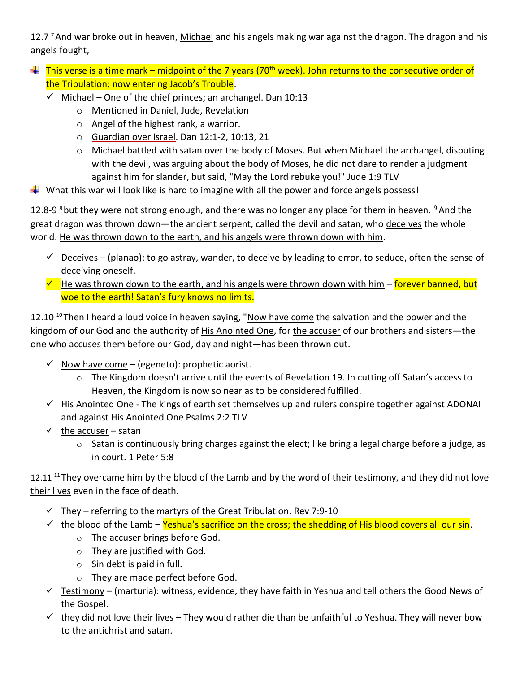12.7<sup>7</sup> And war broke out in heaven, Michael and his angels making war against the dragon. The dragon and his angels fought,

- $\text{ }$  This verse is a time mark midpoint of the 7 years (70<sup>th</sup> week). John returns to the consecutive order of the Tribulation; now entering Jacob's Trouble.
	- $\checkmark$  Michael One of the chief princes; an archangel. Dan 10:13
		- o Mentioned in Daniel, Jude, Revelation
		- o Angel of the highest rank, a warrior.
		- o Guardian over Israel. Dan 12:1-2, 10:13, 21
		- $\circ$  Michael battled with satan over the body of Moses. But when Michael the archangel, disputing with the devil, was arguing about the body of Moses, he did not dare to render a judgment against him for slander, but said, "May the Lord rebuke you!" Jude 1:9 TLV
- What this war will look like is hard to imagine with all the power and force angels possess!

12.8-9 <sup>8</sup> but they were not strong enough, and there was no longer any place for them in heaven. <sup>9</sup> And the great dragon was thrown down—the ancient serpent, called the devil and satan, who deceives the whole world. He was thrown down to the earth, and his angels were thrown down with him.

- $\checkmark$  Deceives (planao): to go astray, wander, to deceive by leading to error, to seduce, often the sense of deceiving oneself.
- $\checkmark$  He was thrown down to the earth, and his angels were thrown down with him forever banned, but woe to the earth! Satan's fury knows no limits.

12.10<sup>10</sup>Then I heard a loud voice in heaven saying, "Now have come the salvation and the power and the kingdom of our God and the authority of His Anointed One, for the accuser of our brothers and sisters-the one who accuses them before our God, day and night—has been thrown out.

- $\checkmark$  Now have come (egeneto): prophetic aorist.
	- o The Kingdom doesn't arrive until the events of Revelation 19. In cutting off Satan's access to Heaven, the Kingdom is now so near as to be considered fulfilled.
- ✓ His Anointed One The kings of earth set themselves up and rulers conspire together against ADONAI and against His Anointed One Psalms 2:2 TLV
- $\checkmark$  the accuser satan
	- o Satan is continuously bring charges against the elect; like bring a legal charge before a judge, as in court. 1 Peter 5:8

12.11  $11$  They overcame him by the blood of the Lamb and by the word of their testimony, and they did not love their lives even in the face of death.

- $\checkmark$  They referring to the martyrs of the Great Tribulation. Rev 7:9-10
- $\checkmark$  the blood of the Lamb Yeshua's sacrifice on the cross; the shedding of His blood covers all our sin.
	- o The accuser brings before God.
	- o They are justified with God.
	- $\circ$  Sin debt is paid in full.
	- o They are made perfect before God.
- $\checkmark$  Testimony (marturia): witness, evidence, they have faith in Yeshua and tell others the Good News of the Gospel.
- $\checkmark$  they did not love their lives They would rather die than be unfaithful to Yeshua. They will never bow to the antichrist and satan.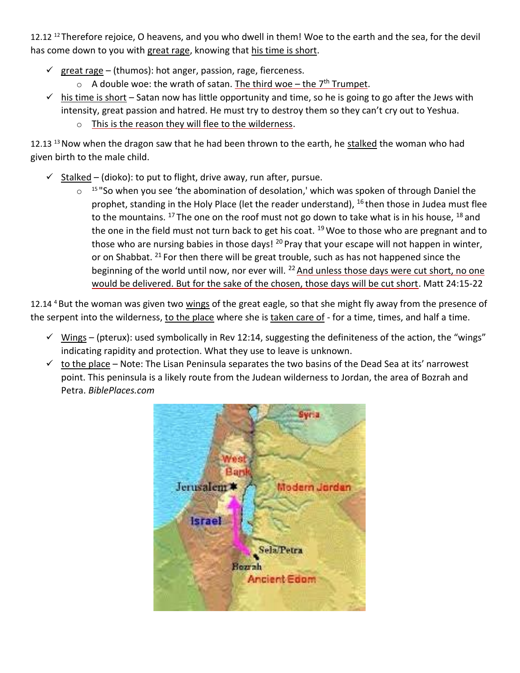12.12<sup>12</sup> Therefore rejoice, O heavens, and you who dwell in them! Woe to the earth and the sea, for the devil has come down to you with great rage, knowing that his time is short.

- $\checkmark$  great rage (thumos): hot anger, passion, rage, fierceness.
	- $\circ$  A double woe: the wrath of satan. The third woe the 7<sup>th</sup> Trumpet.
- $\checkmark$  his time is short Satan now has little opportunity and time, so he is going to go after the Jews with intensity, great passion and hatred. He must try to destroy them so they can't cry out to Yeshua.
	- o This is the reason they will flee to the wilderness.

12.13<sup>13</sup> Now when the dragon saw that he had been thrown to the earth, he stalked the woman who had given birth to the male child.

- $\checkmark$  Stalked (dioko): to put to flight, drive away, run after, pursue.
	- $\circ$  <sup>15</sup> "So when you see 'the abomination of desolation,' which was spoken of through Daniel the prophet, standing in the Holy Place (let the reader understand),  $^{16}$  then those in Judea must flee to the mountains. <sup>17</sup> The one on the roof must not go down to take what is in his house, <sup>18</sup> and the one in the field must not turn back to get his coat.  $19$  Woe to those who are pregnant and to those who are nursing babies in those days!  $^{20}$  Pray that your escape will not happen in winter, or on Shabbat. <sup>21</sup> For then there will be great trouble, such as has not happened since the beginning of the world until now, nor ever will.  $^{22}$  And unless those days were cut short, no one would be delivered. But for the sake of the chosen, those days will be cut short. Matt 24:15-22

12.14<sup>4</sup> But the woman was given two wings of the great eagle, so that she might fly away from the presence of the serpent into the wilderness, to the place where she is taken care of - for a time, times, and half a time.

- $\checkmark$  Wings (pterux): used symbolically in Rev 12:14, suggesting the definiteness of the action, the "wings" indicating rapidity and protection. What they use to leave is unknown.
- $\checkmark$  to the place Note: The Lisan Peninsula separates the two basins of the Dead Sea at its' narrowest point. This peninsula is a likely route from the Judean wilderness to Jordan, the area of Bozrah and Petra. *BiblePlaces.com*